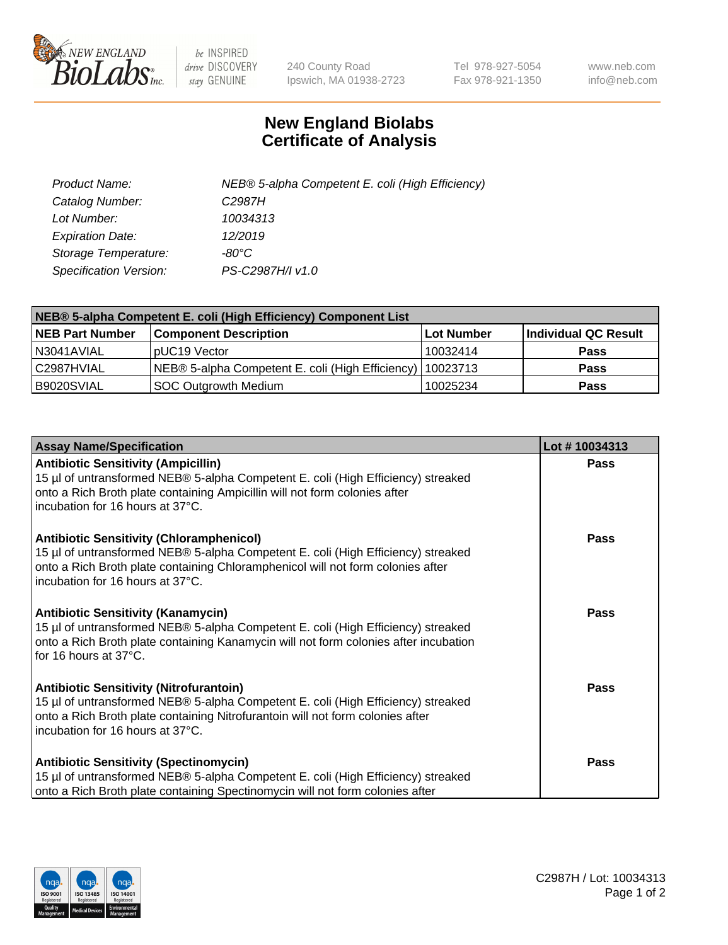

 $be$  INSPIRED drive DISCOVERY stay GENUINE

240 County Road Ipswich, MA 01938-2723 Tel 978-927-5054 Fax 978-921-1350 www.neb.com info@neb.com

## **New England Biolabs Certificate of Analysis**

| Product Name:           | NEB® 5-alpha Competent E. coli (High Efficiency) |
|-------------------------|--------------------------------------------------|
| Catalog Number:         | C <sub>2987</sub> H                              |
| Lot Number:             | 10034313                                         |
| <b>Expiration Date:</b> | 12/2019                                          |
| Storage Temperature:    | -80°C                                            |
| Specification Version:  | PS-C2987H/I v1.0                                 |

| NEB® 5-alpha Competent E. coli (High Efficiency) Component List |                                                             |            |                      |  |
|-----------------------------------------------------------------|-------------------------------------------------------------|------------|----------------------|--|
| <b>NEB Part Number</b>                                          | <b>Component Description</b>                                | Lot Number | Individual QC Result |  |
| N3041AVIAL                                                      | pUC19 Vector                                                | 10032414   | <b>Pass</b>          |  |
| C2987HVIAL                                                      | NEB® 5-alpha Competent E. coli (High Efficiency)   10023713 |            | <b>Pass</b>          |  |
| B9020SVIAL                                                      | SOC Outgrowth Medium                                        | 10025234   | <b>Pass</b>          |  |

| <b>Assay Name/Specification</b>                                                                                                                                                                                                                            | Lot #10034313 |
|------------------------------------------------------------------------------------------------------------------------------------------------------------------------------------------------------------------------------------------------------------|---------------|
| <b>Antibiotic Sensitivity (Ampicillin)</b><br>15 µl of untransformed NEB® 5-alpha Competent E. coli (High Efficiency) streaked<br>onto a Rich Broth plate containing Ampicillin will not form colonies after<br>incubation for 16 hours at 37°C.           | <b>Pass</b>   |
| <b>Antibiotic Sensitivity (Chloramphenicol)</b><br>15 µl of untransformed NEB® 5-alpha Competent E. coli (High Efficiency) streaked<br>onto a Rich Broth plate containing Chloramphenicol will not form colonies after<br>incubation for 16 hours at 37°C. | Pass          |
| Antibiotic Sensitivity (Kanamycin)<br>15 µl of untransformed NEB® 5-alpha Competent E. coli (High Efficiency) streaked<br>onto a Rich Broth plate containing Kanamycin will not form colonies after incubation<br>for 16 hours at 37°C.                    | Pass          |
| <b>Antibiotic Sensitivity (Nitrofurantoin)</b><br>15 µl of untransformed NEB® 5-alpha Competent E. coli (High Efficiency) streaked<br>onto a Rich Broth plate containing Nitrofurantoin will not form colonies after<br>incubation for 16 hours at 37°C.   | <b>Pass</b>   |
| <b>Antibiotic Sensitivity (Spectinomycin)</b><br>15 µl of untransformed NEB® 5-alpha Competent E. coli (High Efficiency) streaked<br>onto a Rich Broth plate containing Spectinomycin will not form colonies after                                         | Pass          |